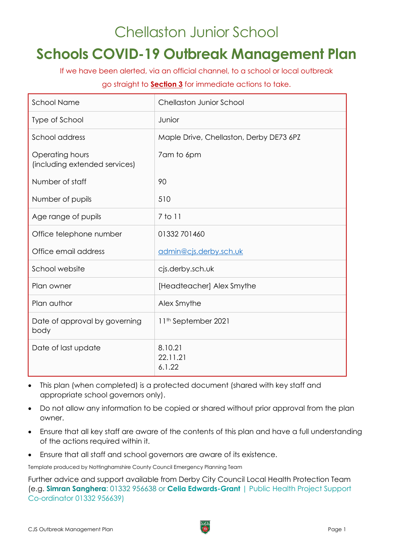# Chellaston Junior School

# **Schools COVID-19 Outbreak Management Plan**

If we have been alerted, via an official channel, to a school or local outbreak

#### go straight to **[Section 3](#page-5-0)** for immediate actions to take.

| <b>School Name</b>                               | <b>Chellaston Junior School</b>         |
|--------------------------------------------------|-----------------------------------------|
| Type of School                                   | Junior                                  |
| School address                                   | Maple Drive, Chellaston, Derby DE73 6PZ |
| Operating hours<br>(including extended services) | 7am to 6pm                              |
| Number of staff                                  | 90                                      |
| Number of pupils                                 | 510                                     |
| Age range of pupils                              | 7 to 11                                 |
| Office telephone number                          | 01332 701460                            |
| Office email address                             | admin@cjs.derby.sch.uk                  |
| School website                                   | cjs.derby.sch.uk                        |
| Plan owner                                       | [Headteacher] Alex Smythe               |
| Plan author                                      | Alex Smythe                             |
| Date of approval by governing<br>body            | 11 <sup>th</sup> September 2021         |
| Date of last update                              | 8.10.21<br>22.11.21<br>6.1.22           |

- This plan (when completed) is a protected document (shared with key staff and appropriate school governors only).
- Do not allow any information to be copied or shared without prior approval from the plan owner.
- Ensure that all key staff are aware of the contents of this plan and have a full understanding of the actions required within it.
- Ensure that all staff and school governors are aware of its existence.

Template produced by Nottinghamshire County Council Emergency Planning Team

Further advice and support available from Derby City Council Local Health Protection Team (e.g. **Simran Sanghera**: 01332 956638 or **Celia Edwards-Grant** | Public Health Project Support Co-ordinator 01332 956639)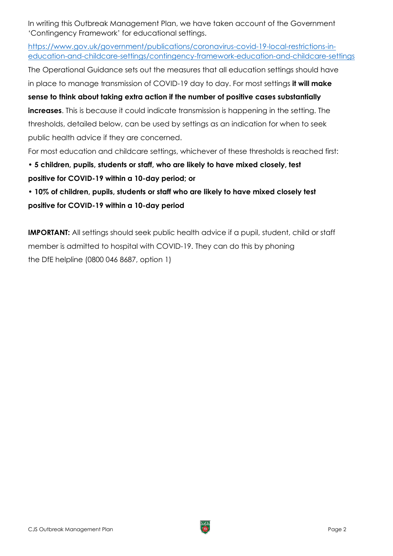In writing this Outbreak Management Plan, we have taken account of the Government 'Contingency Framework' for educational settings.

[https://www.gov.uk/government/publications/coronavirus-covid-19-local-restrictions-in](https://www.gov.uk/government/publications/coronavirus-covid-19-local-restrictions-in-education-and-childcare-settings/contingency-framework-education-and-childcare-settings)[education-and-childcare-settings/contingency-framework-education-and-childcare-settings](https://www.gov.uk/government/publications/coronavirus-covid-19-local-restrictions-in-education-and-childcare-settings/contingency-framework-education-and-childcare-settings)

The Operational Guidance sets out the measures that all education settings should have

in place to manage transmission of COVID-19 day to day. For most settings **it will make**

**sense to think about taking extra action if the number of positive cases substantially increases**. This is because it could indicate transmission is happening in the setting. The thresholds, detailed below, can be used by settings as an indication for when to seek public health advice if they are concerned.

For most education and childcare settings, whichever of these thresholds is reached first:

## **• 5 children, pupils, students or staff, who are likely to have mixed closely, test positive for COVID-19 within a 10-day period; or**

**• 10% of children, pupils, students or staff who are likely to have mixed closely test positive for COVID-19 within a 10-day period**

**IMPORTANT:** All settings should seek public health advice if a pupil, student, child or staff member is admitted to hospital with COVID-19. They can do this by phoning the DfE helpline (0800 046 8687, option 1)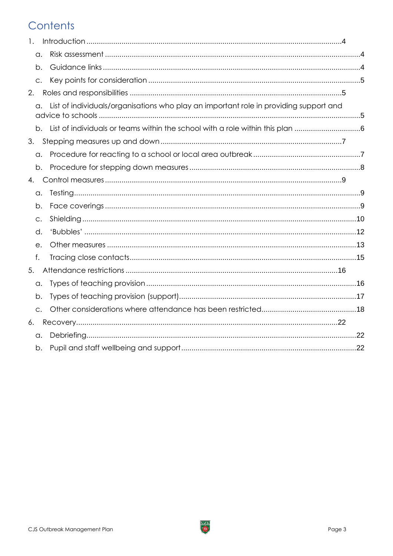## Contents

| $\mathbf{1}$ . |               |                                                                                       |  |
|----------------|---------------|---------------------------------------------------------------------------------------|--|
|                | а.            |                                                                                       |  |
|                | b.            |                                                                                       |  |
|                | C.            |                                                                                       |  |
| 2.             |               |                                                                                       |  |
|                | а.            | List of individuals/organisations who play an important role in providing support and |  |
|                |               |                                                                                       |  |
| 3.             |               |                                                                                       |  |
|                | a.            |                                                                                       |  |
|                | b.            |                                                                                       |  |
| 4.             |               |                                                                                       |  |
|                | a.            |                                                                                       |  |
|                | b.            |                                                                                       |  |
|                | C.            |                                                                                       |  |
|                | d.            |                                                                                       |  |
|                | e.            |                                                                                       |  |
|                | f.            |                                                                                       |  |
| 5.             |               |                                                                                       |  |
|                | a.            |                                                                                       |  |
|                | b.            |                                                                                       |  |
|                | $\mathsf{C}.$ |                                                                                       |  |
| 6.             |               |                                                                                       |  |
|                | α.            |                                                                                       |  |
|                | b.            |                                                                                       |  |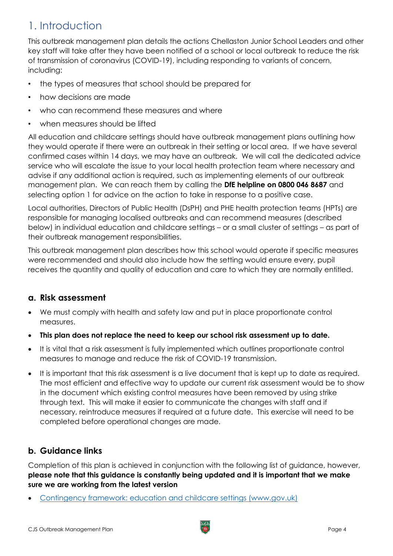## <span id="page-3-0"></span>1. Introduction

This outbreak management plan details the actions Chellaston Junior School Leaders and other key staff will take after they have been notified of a school or local outbreak to reduce the risk of transmission of coronavirus (COVID-19), including responding to variants of concern, including:

- the types of measures that school should be prepared for
- how decisions are made
- who can recommend these measures and where
- when measures should be lifted

All education and childcare settings should have outbreak management plans outlining how they would operate if there were an outbreak in their setting or local area. If we have several confirmed cases within 14 days, we may have an outbreak. We will call the dedicated advice service who will escalate the issue to your local health protection team where necessary and advise if any additional action is required, such as implementing elements of our outbreak management plan. We can reach them by calling the **DfE helpline on 0800 046 8687** and selecting option 1 for advice on the action to take in response to a positive case.

Local authorities, Directors of Public Health (DsPH) and PHE health protection teams (HPTs) are responsible for managing localised outbreaks and can recommend measures (described below) in individual education and childcare settings – or a small cluster of settings – as part of their outbreak management responsibilities.

This outbreak management plan describes how this school would operate if specific measures were recommended and should also include how the setting would ensure every, pupil receives the quantity and quality of education and care to which they are normally entitled.

## <span id="page-3-1"></span>**a. Risk assessment**

- We must comply with health and safety law and put in place proportionate control measures.
- **This plan does not replace the need to keep our school risk assessment up to date.**
- It is vital that a risk assessment is fully implemented which outlines proportionate control measures to manage and reduce the risk of COVID-19 transmission.
- It is important that this risk assessment is a live document that is kept up to date as required. The most efficient and effective way to update our current risk assessment would be to show in the document which existing control measures have been removed by using strike through text. This will make it easier to communicate the changes with staff and if necessary, reintroduce measures if required at a future date. This exercise will need to be completed before operational changes are made.

## <span id="page-3-2"></span>**b. Guidance links**

Completion of this plan is achieved in conjunction with the following list of guidance, however, **please note that this guidance is constantly being updated and it is important that we make sure we are working from the latest version**

• [Contingency framework: education and childcare settings \(www.gov.uk\)](https://www.gov.uk/government/publications/coronavirus-covid-19-local-restrictions-in-education-and-childcare-settings/contingency-framework-education-and-childcare-settings)

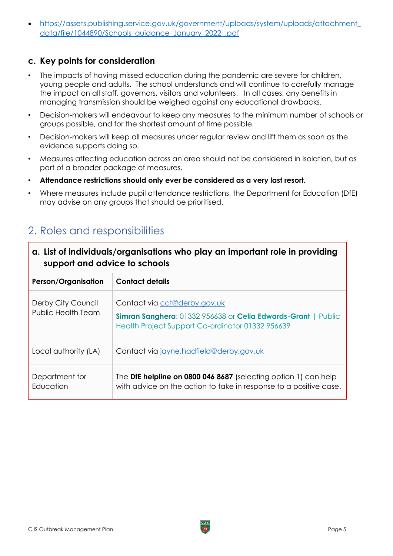• [https://assets.publishing.service.gov.uk/government/uploads/system/uploads/attachment\\_](https://assets.publishing.service.gov.uk/government/uploads/system/uploads/attachment_data/file/1044890/Schools_guidance_January_2022_.pdf) [data/file/1044890/Schools\\_guidance\\_January\\_2022\\_.pdf](https://assets.publishing.service.gov.uk/government/uploads/system/uploads/attachment_data/file/1044890/Schools_guidance_January_2022_.pdf)

#### <span id="page-4-0"></span>**c. Key points for consideration**

- The impacts of having missed education during the pandemic are severe for children, young people and adults. The school understands and will continue to carefully manage the impact on all staff, governors, visitors and volunteers. In all cases, any benefits in managing transmission should be weighed against any educational drawbacks.
- Decision-makers will endeavour to keep any measures to the minimum number of schools or groups possible, and for the shortest amount of time possible.
- Decision-makers will keep all measures under regular review and lift them as soon as the evidence supports doing so.
- Measures affecting education across an area should not be considered in isolation, but as part of a broader package of measures.
- **Attendance restrictions should only ever be considered as a very last resort.**
- Where measures include pupil attendance restrictions, the Department for Education (DfE) may advise on any groups that should be prioritised.

## <span id="page-4-1"></span>2. Roles and responsibilities

<span id="page-4-2"></span>

| a. List of individuals/organisations who play an important role in providing<br>support and advice to schools |                                                                                                                                                         |
|---------------------------------------------------------------------------------------------------------------|---------------------------------------------------------------------------------------------------------------------------------------------------------|
| <b>Person/Organisation</b>                                                                                    | <b>Contact details</b>                                                                                                                                  |
| Derby City Council<br>Public Health Team                                                                      | Contact via cct@derby.gov.uk<br><b>Simran Sanghera: 01332 956638 or Celia Edwards-Grant   Public</b><br>Health Project Support Co-ordinator 01332956639 |
| Local authority (LA)                                                                                          | Contact via jayne.hadfield@derby.gov.uk                                                                                                                 |
| Department for<br>Education                                                                                   | The DfE helpline on 0800 046 8687 (selecting option 1) can help<br>with advice on the action to take in response to a positive case.                    |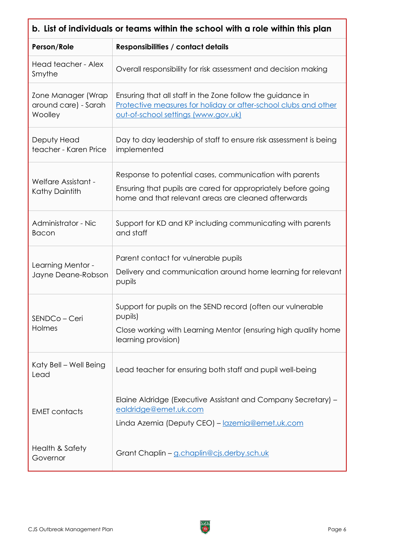<span id="page-5-1"></span><span id="page-5-0"></span>

| b. List of individuals or teams within the school with a role within this plan |                                                                                                                                                                                 |  |
|--------------------------------------------------------------------------------|---------------------------------------------------------------------------------------------------------------------------------------------------------------------------------|--|
| Person/Role                                                                    | Responsibilities / contact details                                                                                                                                              |  |
| Head teacher - Alex<br>Smythe                                                  | Overall responsibility for risk assessment and decision making                                                                                                                  |  |
| Zone Manager (Wrap<br>around care) - Sarah<br>Woolley                          | Ensuring that all staff in the Zone follow the guidance in<br>Protective measures for holiday or after-school clubs and other<br>out-of-school settings (www.gov.uk)            |  |
| Deputy Head<br>teacher - Karen Price                                           | Day to day leadership of staff to ensure risk assessment is being<br>implemented                                                                                                |  |
| Welfare Assistant -<br>Kathy Daintith                                          | Response to potential cases, communication with parents<br>Ensuring that pupils are cared for appropriately before going<br>home and that relevant areas are cleaned afterwards |  |
| Administrator - Nic<br><b>Bacon</b>                                            | Support for KD and KP including communicating with parents<br>and staff                                                                                                         |  |
| Learning Mentor -<br>Jayne Deane-Robson                                        | Parent contact for vulnerable pupils<br>Delivery and communication around home learning for relevant<br>pupils                                                                  |  |
| SENDCo - Ceri<br>Holmes                                                        | Support for pupils on the SEND record (often our vulnerable<br>pupils)<br>Close working with Learning Mentor (ensuring high quality home<br>learning provision)                 |  |
| Katy Bell – Well Being<br>Lead                                                 | Lead teacher for ensuring both staff and pupil well-being                                                                                                                       |  |
| <b>EMET</b> contacts                                                           | Elaine Aldridge (Executive Assistant and Company Secretary) -<br>ealdridge@emet.uk.com<br>Linda Azemia (Deputy CEO) - lazemia@emet.uk.com                                       |  |
| Health & Safety<br>Governor                                                    | Grant Chaplin - g.chaplin@cjs.derby.sch.uk                                                                                                                                      |  |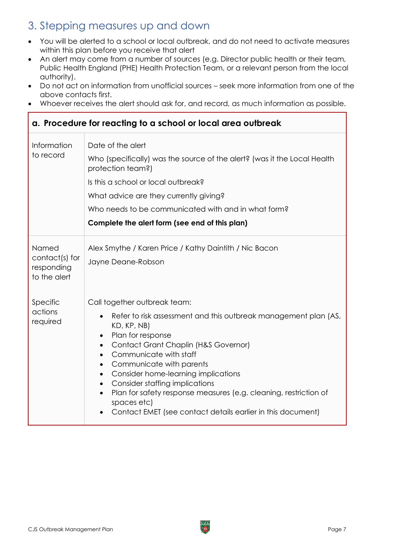## <span id="page-6-0"></span>3. Stepping measures up and down

- You will be alerted to a school or local outbreak, and do not need to activate measures within this plan before you receive that alert
- An alert may come from a number of sources (e.g. Director public health or their team, Public Health England (PHE) Health Protection Team, or a relevant person from the local authority).
- Do not act on information from unofficial sources seek more information from one of the above contacts first.
- Whoever receives the alert should ask for, and record, as much information as possible.

#### <span id="page-6-1"></span>**a. Procedure for reacting to a school or local area outbreak** Information to record Date of the alert Who (specifically) was the source of the alert? (was it the Local Health protection team?) Is this a school or local outbreak? What advice are they currently giving? Who needs to be communicated with and in what form? **Complete the alert form (see end of this plan)** Named contact(s) for responding to the alert Alex Smythe / Karen Price / Kathy Daintith / Nic Bacon Jayne Deane-Robson Specific actions required Call together outbreak team: • Refer to risk assessment and this outbreak management plan (AS, KD, KP, NB) • Plan for response • Contact Grant Chaplin (H&S Governor) • Communicate with staff • Communicate with parents • Consider home-learning implications • Consider staffing implications • Plan for safety response measures (e.g. cleaning, restriction of spaces etc) • Contact EMET (see contact details earlier in this document)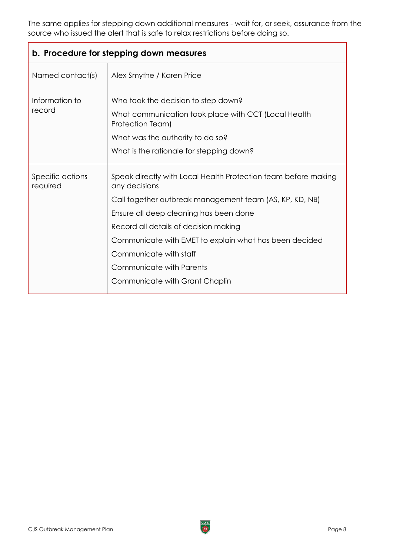The same applies for stepping down additional measures - wait for, or seek, assurance from the source who issued the alert that is safe to relax restrictions before doing so.

<span id="page-7-0"></span>

| b. Procedure for stepping down measures |                                                                                                                                                                                                                                                                                                                                                                                 |
|-----------------------------------------|---------------------------------------------------------------------------------------------------------------------------------------------------------------------------------------------------------------------------------------------------------------------------------------------------------------------------------------------------------------------------------|
| Named contact(s)                        | Alex Smythe / Karen Price                                                                                                                                                                                                                                                                                                                                                       |
| Information to<br>record                | Who took the decision to step down?<br>What communication took place with CCT (Local Health<br>Protection Team)<br>What was the authority to do so?<br>What is the rationale for stepping down?                                                                                                                                                                                 |
| Specific actions<br>required            | Speak directly with Local Health Protection team before making<br>any decisions<br>Call together outbreak management team (AS, KP, KD, NB)<br>Ensure all deep cleaning has been done<br>Record all details of decision making<br>Communicate with EMET to explain what has been decided<br>Communicate with staff<br>Communicate with Parents<br>Communicate with Grant Chaplin |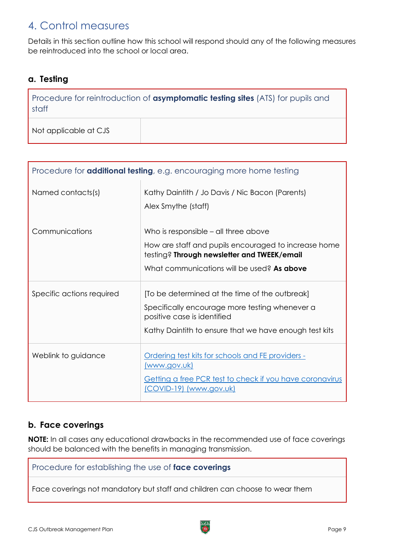## <span id="page-8-0"></span>4. Control measures

Details in this section outline how this school will respond should any of the following measures be reintroduced into the school or local area.

### <span id="page-8-1"></span>**a. Testing**

Procedure for reintroduction of **asymptomatic testing sites** (ATS) for pupils and staff

Not applicable at CJS

| Procedure for <b>additional testing</b> , e.g. encouraging more home testing |                                                                                                                                                                                           |
|------------------------------------------------------------------------------|-------------------------------------------------------------------------------------------------------------------------------------------------------------------------------------------|
| Named contacts(s)                                                            | Kathy Daintith / Jo Davis / Nic Bacon (Parents)<br>Alex Smythe (staff)                                                                                                                    |
| Communications                                                               | Who is responsible – all three above<br>How are staff and pupils encouraged to increase home<br>testing? Through newsletter and TWEEK/email<br>What communications will be used? As above |
| Specific actions required                                                    | [To be determined at the time of the outbreak]<br>Specifically encourage more testing whenever a<br>positive case is identified<br>Kathy Daintith to ensure that we have enough test kits |
| Weblink to guidance                                                          | Ordering test kits for schools and FE providers -<br><u>(www.gov.uk)</u><br><b>Getting a free PCR test to check if you have coronavirus</b><br>(COVID-19) (www.gov.uk)                    |

### <span id="page-8-2"></span>**b. Face coverings**

**NOTE:** In all cases any educational drawbacks in the recommended use of face coverings should be balanced with the benefits in managing transmission.

Procedure for establishing the use of **face coverings**

Face coverings not mandatory but staff and children can choose to wear them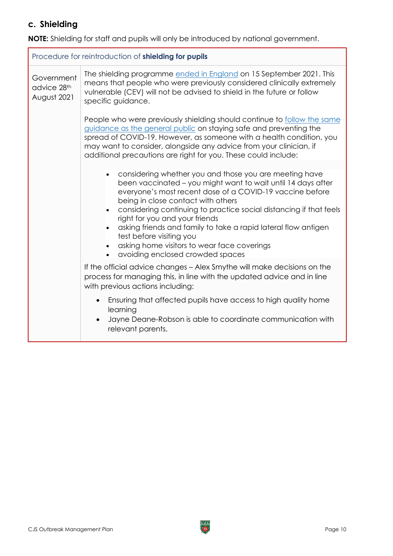## <span id="page-9-0"></span>**c. Shielding**

**NOTE:** Shielding for staff and pupils will only be introduced by national government.

| Procedure for reintroduction of shielding for pupils |                                                                                                                                                                                                                                                                                                                                                                                                                                                                                                                                |  |
|------------------------------------------------------|--------------------------------------------------------------------------------------------------------------------------------------------------------------------------------------------------------------------------------------------------------------------------------------------------------------------------------------------------------------------------------------------------------------------------------------------------------------------------------------------------------------------------------|--|
| Government<br>advice 28th<br>August 2021             | The shielding programme ended in England on 15 September 2021. This<br>means that people who were previously considered clinically extremely<br>vulnerable (CEV) will not be advised to shield in the future or follow<br>specific guidance.                                                                                                                                                                                                                                                                                   |  |
|                                                      | People who were previously shielding should continue to follow the same<br>guidance as the general public on staying safe and preventing the<br>spread of COVID-19. However, as someone with a health condition, you<br>may want to consider, alongside any advice from your clinician, if<br>additional precautions are right for you. These could include:                                                                                                                                                                   |  |
|                                                      | considering whether you and those you are meeting have<br>been vaccinated – you might want to wait until 14 days after<br>everyone's most recent dose of a COVID-19 vaccine before<br>being in close contact with others<br>considering continuing to practice social distancing if that feels<br>$\bullet$<br>right for you and your friends<br>asking friends and family to take a rapid lateral flow antigen<br>test before visiting you<br>asking home visitors to wear face coverings<br>avoiding enclosed crowded spaces |  |
|                                                      | If the official advice changes - Alex Smythe will make decisions on the<br>process for managing this, in line with the updated advice and in line<br>with previous actions including:                                                                                                                                                                                                                                                                                                                                          |  |
|                                                      | Ensuring that affected pupils have access to high quality home<br>$\bullet$<br>learning<br>Jayne Deane-Robson is able to coordinate communication with<br>$\bullet$<br>relevant parents.                                                                                                                                                                                                                                                                                                                                       |  |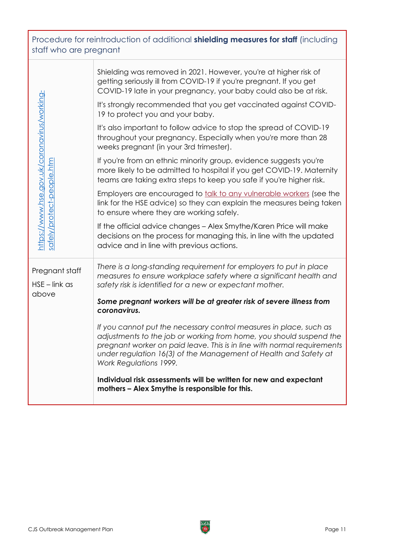Procedure for reintroduction of additional **shielding measures for staff** (including staff who are pregnant

| https://www.hse.gov.uk/coronavirus/working-<br>safely/protect-people.htm<br>Pregnant staff | COVID-19 late in your pregnancy, your baby could also be at risk.<br>It's strongly recommended that you get vaccinated against COVID-<br>19 to protect you and your baby.<br>It's also important to follow advice to stop the spread of COVID-19<br>throughout your pregnancy. Especially when you're more than 28<br>weeks pregnant (in your 3rd trimester).<br>If you're from an ethnic minority group, evidence suggests you're<br>more likely to be admitted to hospital if you get COVID-19. Maternity<br>teams are taking extra steps to keep you safe if you're higher risk.<br>Employers are encouraged to talk to any vulnerable workers (see the<br>link for the HSE advice) so they can explain the measures being taken<br>to ensure where they are working safely.<br>If the official advice changes - Alex Smythe/Karen Price will make<br>decisions on the process for managing this, in line with the updated<br>advice and in line with previous actions.<br>There is a long-standing requirement for employers to put in place<br>measures to ensure workplace safety where a significant health and |
|--------------------------------------------------------------------------------------------|------------------------------------------------------------------------------------------------------------------------------------------------------------------------------------------------------------------------------------------------------------------------------------------------------------------------------------------------------------------------------------------------------------------------------------------------------------------------------------------------------------------------------------------------------------------------------------------------------------------------------------------------------------------------------------------------------------------------------------------------------------------------------------------------------------------------------------------------------------------------------------------------------------------------------------------------------------------------------------------------------------------------------------------------------------------------------------------------------------------------|
| $HSE$ – link as<br>above                                                                   | safety risk is identified for a new or expectant mother.<br>Some pregnant workers will be at greater risk of severe illness from<br>coronavirus.<br>If you cannot put the necessary control measures in place, such as<br>adjustments to the job or working from home, you should suspend the<br>pregnant worker on paid leave. This is in line with normal requirements<br>under regulation 16(3) of the Management of Health and Safety at<br>Work Regulations 1999.<br>Individual risk assessments will be written for new and expectant<br>mothers - Alex Smythe is responsible for this.                                                                                                                                                                                                                                                                                                                                                                                                                                                                                                                          |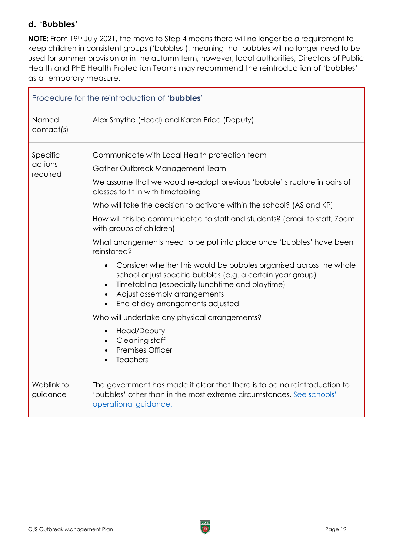### <span id="page-11-0"></span>**d. 'Bubbles'**

**NOTE:** From 19th July 2021, the move to Step 4 means there will no longer be a requirement to keep children in consistent groups ('bubbles'), meaning that bubbles will no longer need to be used for summer provision or in the autumn term, however, local authorities, Directors of Public Health and PHE Health Protection Teams may recommend the reintroduction of 'bubbles' as a temporary measure.

| Procedure for the reintroduction of 'bubbles' |                                                                                                                                                                                                                                                                                                                                                                                                                                                                                                                                                                                                                                                                                                                                                                                                                                                                                                                |  |
|-----------------------------------------------|----------------------------------------------------------------------------------------------------------------------------------------------------------------------------------------------------------------------------------------------------------------------------------------------------------------------------------------------------------------------------------------------------------------------------------------------------------------------------------------------------------------------------------------------------------------------------------------------------------------------------------------------------------------------------------------------------------------------------------------------------------------------------------------------------------------------------------------------------------------------------------------------------------------|--|
| Named<br>contact(s)                           | Alex Smythe (Head) and Karen Price (Deputy)                                                                                                                                                                                                                                                                                                                                                                                                                                                                                                                                                                                                                                                                                                                                                                                                                                                                    |  |
| Specific<br>actions<br>required               | Communicate with Local Health protection team<br>Gather Outbreak Management Team<br>We assume that we would re-adopt previous 'bubble' structure in pairs of<br>classes to fit in with timetabling<br>Who will take the decision to activate within the school? (AS and KP)<br>How will this be communicated to staff and students? (email to staff; Zoom<br>with groups of children)<br>What arrangements need to be put into place once 'bubbles' have been<br>reinstated?<br>Consider whether this would be bubbles organised across the whole<br>$\bullet$<br>school or just specific bubbles (e.g. a certain year group)<br>Timetabling (especially lunchtime and playtime)<br>Adjust assembly arrangements<br>End of day arrangements adjusted<br>Who will undertake any physical arrangements?<br>Head/Deputy<br>$\bullet$<br>Cleaning staff<br>$\bullet$<br><b>Premises Officer</b><br><b>Teachers</b> |  |
| Weblink to<br>guidance                        | The government has made it clear that there is to be no reintroduction to<br>'bubbles' other than in the most extreme circumstances. See schools'<br>operational guidance.                                                                                                                                                                                                                                                                                                                                                                                                                                                                                                                                                                                                                                                                                                                                     |  |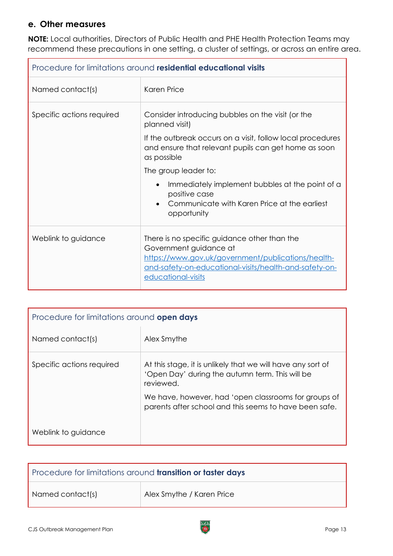### <span id="page-12-0"></span>**e. Other measures**

**NOTE:** Local authorities, Directors of Public Health and PHE Health Protection Teams may recommend these precautions in one setting, a cluster of settings, or across an entire area.

| Procedure for limitations around residential educational visits |                                                                                                                                                                                                                                                                                                                                                                                  |
|-----------------------------------------------------------------|----------------------------------------------------------------------------------------------------------------------------------------------------------------------------------------------------------------------------------------------------------------------------------------------------------------------------------------------------------------------------------|
| Named contact(s)                                                | Karen Price                                                                                                                                                                                                                                                                                                                                                                      |
| Specific actions required                                       | Consider introducing bubbles on the visit (or the<br>planned visit)<br>If the outbreak occurs on a visit, follow local procedures<br>and ensure that relevant pupils can get home as soon<br>as possible<br>The group leader to:<br>Immediately implement bubbles at the point of a<br>$\bullet$<br>positive case<br>Communicate with Karen Price at the earliest<br>opportunity |
| Weblink to guidance                                             | There is no specific guidance other than the<br>Government guidance at<br>https://www.gov.uk/government/publications/health-<br>and-safety-on-educational-visits/health-and-safety-on-<br>educational-visits                                                                                                                                                                     |

| Procedure for limitations around open days |                                                                                                                             |
|--------------------------------------------|-----------------------------------------------------------------------------------------------------------------------------|
| Named contact(s)                           | Alex Smythe                                                                                                                 |
| Specific actions required                  | At this stage, it is unlikely that we will have any sort of<br>'Open Day' during the autumn term. This will be<br>reviewed. |
|                                            | We have, however, had 'open classrooms for groups of<br>parents after school and this seems to have been safe.              |
| Weblink to guidance                        |                                                                                                                             |

| Procedure for limitations around <b>transition or taster days</b> |                           |
|-------------------------------------------------------------------|---------------------------|
| Named contact(s)                                                  | Alex Smythe / Karen Price |

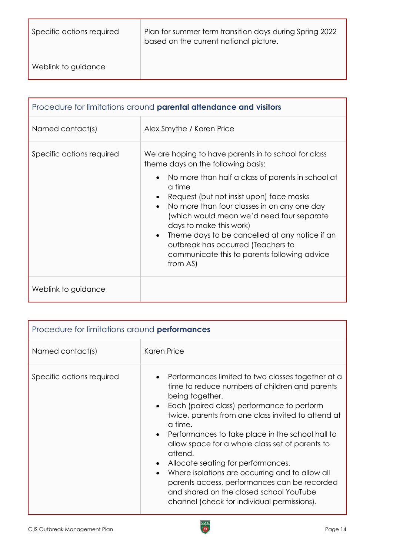| Specific actions required | Plan for summer term transition days during Spring 2022<br>based on the current national picture. |
|---------------------------|---------------------------------------------------------------------------------------------------|
| Weblink to guidance       |                                                                                                   |

| Procedure for limitations around <b>parental attendance and visitors</b> |                                                                                                                                                                                                                                                                                                                                                                                                                                                                                                            |
|--------------------------------------------------------------------------|------------------------------------------------------------------------------------------------------------------------------------------------------------------------------------------------------------------------------------------------------------------------------------------------------------------------------------------------------------------------------------------------------------------------------------------------------------------------------------------------------------|
| Named contact(s)                                                         | Alex Smythe / Karen Price                                                                                                                                                                                                                                                                                                                                                                                                                                                                                  |
| Specific actions required                                                | We are hoping to have parents in to school for class<br>theme days on the following basis:<br>No more than half a class of parents in school at<br>a time<br>Request (but not insist upon) face masks<br>No more than four classes in on any one day<br>$\bullet$<br>(which would mean we'd need four separate<br>days to make this work)<br>Theme days to be cancelled at any notice if an<br>$\bullet$<br>outbreak has occurred (Teachers to<br>communicate this to parents following advice<br>from AS) |
| Weblink to guidance                                                      |                                                                                                                                                                                                                                                                                                                                                                                                                                                                                                            |

| Procedure for limitations around performances |                                                                                                                                                                                                                                                                                                                                                                                                                                                                                                                                                                                                                                                             |  |
|-----------------------------------------------|-------------------------------------------------------------------------------------------------------------------------------------------------------------------------------------------------------------------------------------------------------------------------------------------------------------------------------------------------------------------------------------------------------------------------------------------------------------------------------------------------------------------------------------------------------------------------------------------------------------------------------------------------------------|--|
| Named contact(s)                              | <b>Karen Price</b>                                                                                                                                                                                                                                                                                                                                                                                                                                                                                                                                                                                                                                          |  |
| Specific actions required                     | Performances limited to two classes together at a<br>$\bullet$<br>time to reduce numbers of children and parents<br>being together.<br>Each (paired class) performance to perform<br>$\bullet$<br>twice, parents from one class invited to attend at<br>a time.<br>Performances to take place in the school hall to<br>$\bullet$<br>allow space for a whole class set of parents to<br>attend.<br>Allocate seating for performances.<br>$\bullet$<br>Where isolations are occurring and to allow all<br>$\bullet$<br>parents access, performances can be recorded<br>and shared on the closed school YouTube<br>channel (check for individual permissions). |  |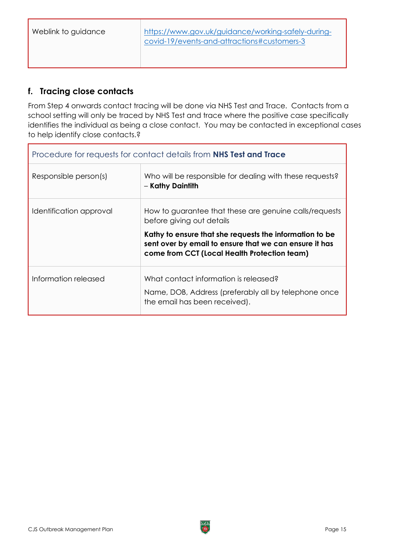## <span id="page-14-0"></span>**f. Tracing close contacts**

From Step 4 onwards contact tracing will be done via NHS Test and Trace. Contacts from a school setting will only be traced by NHS Test and trace where the positive case specifically identifies the individual as being a close contact. You may be contacted in exceptional cases to help identify close contacts.?

| Procedure for requests for contact details from NHS Test and Trace |                                                                                                                                                                                                          |
|--------------------------------------------------------------------|----------------------------------------------------------------------------------------------------------------------------------------------------------------------------------------------------------|
| Responsible person(s)                                              | Who will be responsible for dealing with these requests?<br>- Kathy Daintith                                                                                                                             |
| Identification approval                                            | How to guarantee that these are genuine calls/requests<br>before giving out details<br>Kathy to ensure that she requests the information to be<br>sent over by email to ensure that we can ensure it has |
|                                                                    | come from CCT (Local Health Protection team)                                                                                                                                                             |
| Information released                                               | What contact information is released?<br>Name, DOB, Address (preferably all by telephone once<br>the email has been received).                                                                           |

٦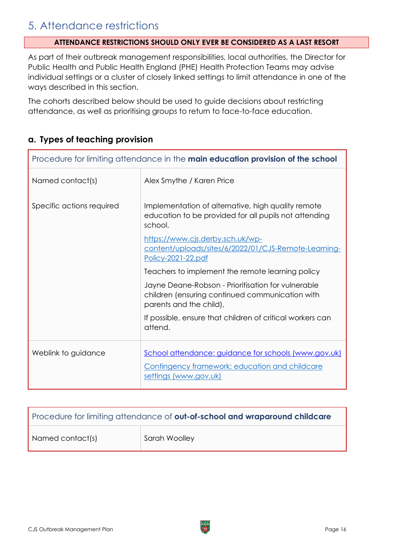## <span id="page-15-0"></span>5. Attendance restrictions

#### **ATTENDANCE RESTRICTIONS SHOULD ONLY EVER BE CONSIDERED AS A LAST RESORT**

As part of their outbreak management responsibilities, local authorities, the Director for Public Health and Public Health England (PHE) Health Protection Teams may advise individual settings or a cluster of closely linked settings to limit attendance in one of the ways described in this section.

The cohorts described below should be used to guide decisions about restricting attendance, as well as prioritising groups to return to face-to-face education.

### <span id="page-15-1"></span>**a. Types of teaching provision**

| Procedure for limiting attendance in the main education provision of the school |                                                                                                                                        |
|---------------------------------------------------------------------------------|----------------------------------------------------------------------------------------------------------------------------------------|
| Named contact(s)                                                                | Alex Smythe / Karen Price                                                                                                              |
| Specific actions required                                                       | Implementation of alternative, high quality remote<br>education to be provided for all pupils not attending<br>school.                 |
|                                                                                 | https://www.cjs.derby.sch.uk/wp-<br>content/uploads/sites/6/2022/01/CJS-Remote-Learning-<br>Policy-2021-22.pdf                         |
|                                                                                 | Teachers to implement the remote learning policy                                                                                       |
|                                                                                 | Jayne Deane-Robson - Prioritisation for vulnerable<br>children (ensuring continued communication with<br>parents and the child),       |
|                                                                                 | If possible, ensure that children of critical workers can<br>attend.                                                                   |
| Weblink to guidance                                                             | School attendance: guidance for schools (www.gov.uk)<br><b>Contingency framework: education and childcare</b><br>settings (www.gov.uk) |

| Procedure for limiting attendance of <b>out-of-school and wraparound childcare</b> |               |
|------------------------------------------------------------------------------------|---------------|
| Named contact(s)                                                                   | Sarah Woolley |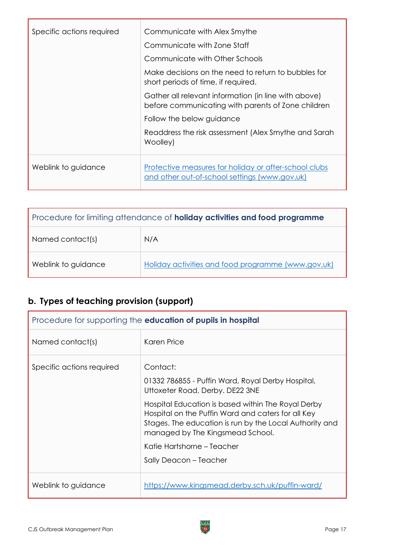| Specific actions required | Communicate with Alex Smythe                                                                               |
|---------------------------|------------------------------------------------------------------------------------------------------------|
|                           | Communicate with Zone Staff                                                                                |
|                           | Communicate with Other Schools                                                                             |
|                           | Make decisions on the need to return to bubbles for<br>short periods of time, if required.                 |
|                           | Gather all relevant information (in line with above)<br>before communicating with parents of Zone children |
|                           | Follow the below guidance                                                                                  |
|                           | Readdress the risk assessment (Alex Smythe and Sarah<br>Woolley)                                           |
| Weblink to guidance       | Protective measures for holiday or after-school clubs<br>and other out-of-school settings (www.gov.uk)     |

| Procedure for limiting attendance of <b>holiday activities and food programme</b> |                                                    |
|-----------------------------------------------------------------------------------|----------------------------------------------------|
| Named contact(s)                                                                  | N/A                                                |
| Weblink to guidance                                                               | Holiday activities and food programme (www.gov.uk) |

## <span id="page-16-0"></span>**b. Types of teaching provision (support)**

| Procedure for supporting the <b>education of pupils in hospital</b> |                                                                                                                                                                                                         |
|---------------------------------------------------------------------|---------------------------------------------------------------------------------------------------------------------------------------------------------------------------------------------------------|
| Named contact(s)                                                    | Karen Price                                                                                                                                                                                             |
| Specific actions required                                           | Contact:<br>01332 786855 - Puffin Ward, Royal Derby Hospital,<br>Uttoxeter Road, Derby. DE22 3NE                                                                                                        |
|                                                                     | Hospital Education is based within The Royal Derby<br>Hospital on the Puffin Ward and caters for all Key<br>Stages. The education is run by the Local Authority and<br>managed by The Kingsmead School. |
|                                                                     | Katie Hartshorne – Teacher                                                                                                                                                                              |
|                                                                     | Sally Deacon - Teacher                                                                                                                                                                                  |
| Weblink to guidance                                                 | https://www.kingsmead.derby.sch.uk/puffin-ward/                                                                                                                                                         |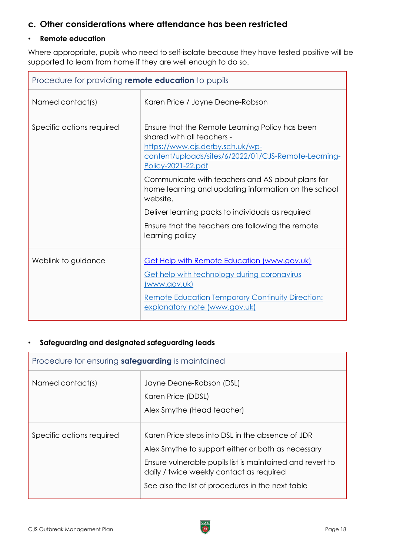### <span id="page-17-0"></span>**c. Other considerations where attendance has been restricted**

#### • **Remote education**

Where appropriate, pupils who need to self-isolate because they have tested positive will be supported to learn from home if they are well enough to do so.

| Procedure for providing remote education to pupils |                                                                                                                                                                                                               |  |
|----------------------------------------------------|---------------------------------------------------------------------------------------------------------------------------------------------------------------------------------------------------------------|--|
| Named contact(s)                                   | Karen Price / Jayne Deane-Robson                                                                                                                                                                              |  |
| Specific actions required                          | Ensure that the Remote Learning Policy has been<br>shared with all teachers -<br>https://www.cjs.derby.sch.uk/wp-<br>content/uploads/sites/6/2022/01/CJS-Remote-Learning-<br><u>Policy-2021-22.pdf</u>        |  |
|                                                    | Communicate with teachers and AS about plans for<br>home learning and updating information on the school<br>website.                                                                                          |  |
|                                                    | Deliver learning packs to individuals as required                                                                                                                                                             |  |
|                                                    | Ensure that the teachers are following the remote<br>learning policy                                                                                                                                          |  |
| Weblink to guidance                                | <b>Get Help with Remote Education (www.gov.uk)</b><br>Get help with technology during coronavirus<br>(www.gov.uk)<br><b>Remote Education Temporary Continuity Direction:</b><br>explanatory note (www.gov.uk) |  |

#### • **Safeguarding and designated safeguarding leads**

| Procedure for ensuring <b>safeguarding</b> is maintained |                                                                                                                                                                                                                                                                      |
|----------------------------------------------------------|----------------------------------------------------------------------------------------------------------------------------------------------------------------------------------------------------------------------------------------------------------------------|
| Named contact(s)                                         | Jayne Deane-Robson (DSL)<br>Karen Price (DDSL)<br>Alex Smythe (Head teacher)                                                                                                                                                                                         |
| Specific actions required                                | Karen Price steps into DSL in the absence of JDR<br>Alex Smythe to support either or both as necessary<br>Ensure vulnerable pupils list is maintained and revert to<br>daily / twice weekly contact as required<br>See also the list of procedures in the next table |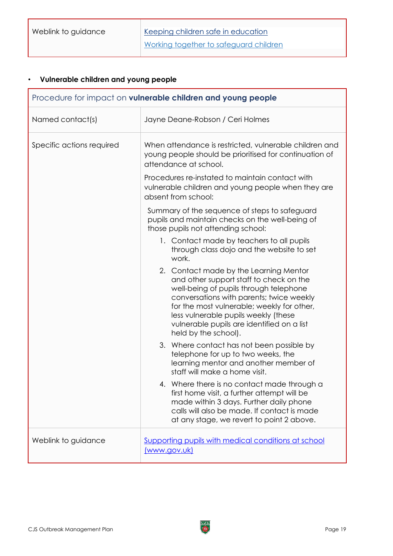Weblink to guidance **Keeping children safe in [education](https://www.gov.uk/government/publications/keeping-children-safe-in-education--2)** Working together to [safeguard](https://www.gov.uk/government/publications/working-together-to-safeguard-children--2) children

## • **Vulnerable children and young people**

| Procedure for impact on vulnerable children and young people |                                                                                                                                                                                                                                                                                                                                     |  |
|--------------------------------------------------------------|-------------------------------------------------------------------------------------------------------------------------------------------------------------------------------------------------------------------------------------------------------------------------------------------------------------------------------------|--|
| Named contact(s)                                             | Jayne Deane-Robson / Ceri Holmes                                                                                                                                                                                                                                                                                                    |  |
| Specific actions required                                    | When attendance is restricted, vulnerable children and<br>young people should be prioritised for continuation of<br>attendance at school.                                                                                                                                                                                           |  |
|                                                              | Procedures re-instated to maintain contact with<br>vulnerable children and young people when they are<br>absent from school:                                                                                                                                                                                                        |  |
|                                                              | Summary of the sequence of steps to safeguard<br>pupils and maintain checks on the well-being of<br>those pupils not attending school:                                                                                                                                                                                              |  |
|                                                              | 1. Contact made by teachers to all pupils<br>through class dojo and the website to set<br>work.                                                                                                                                                                                                                                     |  |
|                                                              | 2. Contact made by the Learning Mentor<br>and other support staff to check on the<br>well-being of pupils through telephone<br>conversations with parents; twice weekly<br>for the most vulnerable; weekly for other,<br>less vulnerable pupils weekly (these<br>vulnerable pupils are identified on a list<br>held by the school). |  |
|                                                              | 3. Where contact has not been possible by<br>telephone for up to two weeks, the<br>learning mentor and another member of<br>staff will make a home visit.                                                                                                                                                                           |  |
|                                                              | 4. Where there is no contact made through a<br>first home visit, a further attempt will be<br>made within 3 days. Further daily phone<br>calls will also be made. If contact is made<br>at any stage, we revert to point 2 above.                                                                                                   |  |
| Weblink to guidance                                          | Supporting pupils with medical conditions at school<br>(www.gov.uk)                                                                                                                                                                                                                                                                 |  |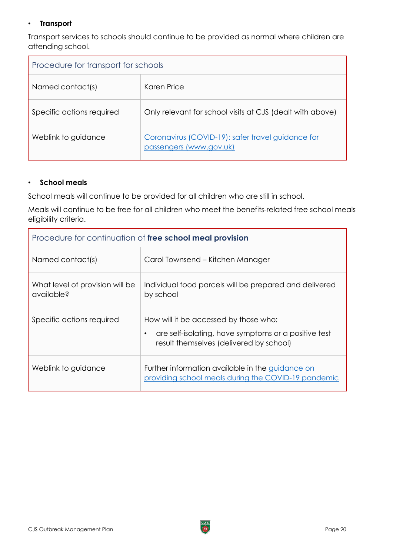#### • **Transport**

Transport services to schools should continue to be provided as normal where children are attending school.

| Procedure for transport for schools |                                                                              |  |
|-------------------------------------|------------------------------------------------------------------------------|--|
| Named contact(s)                    | Karen Price                                                                  |  |
| Specific actions required           | Only relevant for school visits at CJS (dealt with above)                    |  |
| Weblink to guidance                 | Coronavirus (COVID-19): safer travel guidance for<br>passengers (www.gov.uk) |  |

#### • **School meals**

School meals will continue to be provided for all children who are still in school.

Meals will continue to be free for all children who meet the benefits-related free school meals eligibility criteria.

| Procedure for continuation of free school meal provision |                                                                                                                                                       |  |
|----------------------------------------------------------|-------------------------------------------------------------------------------------------------------------------------------------------------------|--|
| Named contact(s)                                         | Carol Townsend – Kitchen Manager                                                                                                                      |  |
| What level of provision will be<br>available?            | Individual food parcels will be prepared and delivered<br>by school                                                                                   |  |
| Specific actions required                                | How will it be accessed by those who:<br>are self-isolating, have symptoms or a positive test<br>$\bullet$<br>result themselves (delivered by school) |  |
| Weblink to guidance                                      | Further information available in the guidance on<br>providing school meals during the COVID-19 pandemic                                               |  |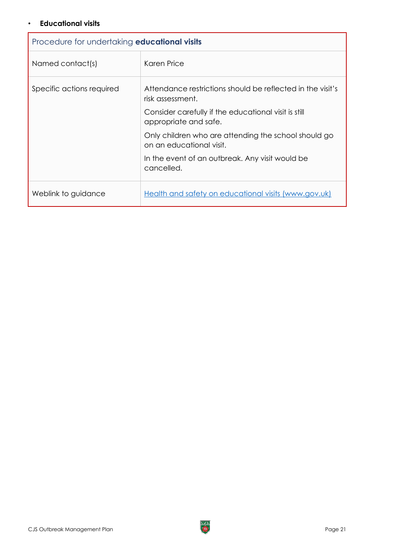#### • **Educational visits**

| Procedure for undertaking <b>educational visits</b> |                                                                                  |  |
|-----------------------------------------------------|----------------------------------------------------------------------------------|--|
| Named contact(s)                                    | Karen Price                                                                      |  |
| Specific actions required                           | Attendance restrictions should be reflected in the visit's<br>risk assessment.   |  |
|                                                     | Consider carefully if the educational visit is still<br>appropriate and safe.    |  |
|                                                     | Only children who are attending the school should go<br>on an educational visit. |  |
|                                                     | In the event of an outbreak. Any visit would be<br>cancelled.                    |  |
| Weblink to guidance                                 | Health and safety on educational visits (www.gov.uk)                             |  |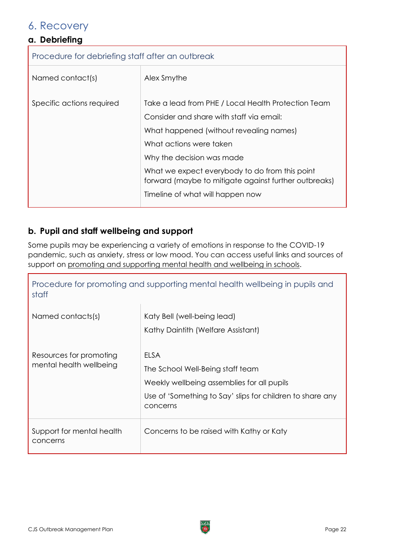## <span id="page-21-0"></span>6. Recovery

## <span id="page-21-1"></span>**a. Debriefing**

Procedure for debriefing staff after an outbreak

| Named contact(s)          | Alex Smythe                                                                                                                                                                                                                                                                                                                                       |
|---------------------------|---------------------------------------------------------------------------------------------------------------------------------------------------------------------------------------------------------------------------------------------------------------------------------------------------------------------------------------------------|
| Specific actions required | Take a lead from PHE / Local Health Protection Team<br>Consider and share with staff via email:<br>What happened (without revealing names)<br>What actions were taken<br>Why the decision was made<br>What we expect everybody to do from this point<br>forward (maybe to mitigate against further outbreaks)<br>Timeline of what will happen now |

### <span id="page-21-2"></span>**b. Pupil and staff wellbeing and support**

Some pupils may be experiencing a variety of emotions in response to the COVID-19 pandemic, such as anxiety, stress or low mood. You can access useful links and sources of support on [promoting and supporting mental health and wellbeing in schools.](https://www.gov.uk/guidance/mental-health-and-wellbeing-support-in-schools-and-colleges#contents)

| Procedure for promoting and supporting mental health wellbeing in pupils and<br>staff |                                                                                                                                                                        |  |
|---------------------------------------------------------------------------------------|------------------------------------------------------------------------------------------------------------------------------------------------------------------------|--|
| Named contacts(s)                                                                     | Katy Bell (well-being lead)<br>Kathy Daintith (Welfare Assistant)                                                                                                      |  |
| Resources for promoting<br>mental health wellbeing                                    | <b>ELSA</b><br>The School Well-Being staff team<br>Weekly wellbeing assemblies for all pupils<br>Use of 'Something to Say' slips for children to share any<br>concerns |  |
| Support for mental health<br>concerns                                                 | Concerns to be raised with Kathy or Katy                                                                                                                               |  |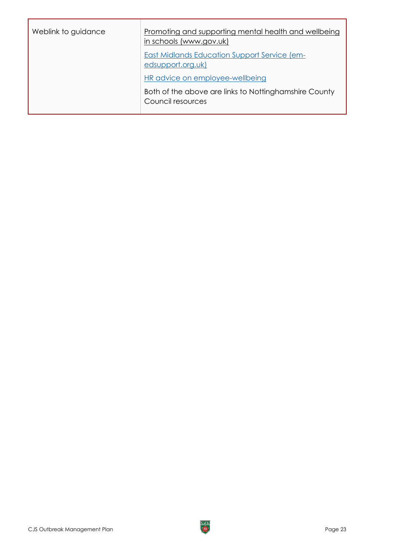| Weblink to guidance | Promoting and supporting mental health and wellbeing<br>in schools (www.gov.uk) |
|---------------------|---------------------------------------------------------------------------------|
|                     | <b>East Midlands Education Support Service (em-</b><br>edsupport.org.uk)        |
|                     | HR advice on employee-wellbeing                                                 |
|                     | Both of the above are links to Nottinghamshire County<br>Council resources      |